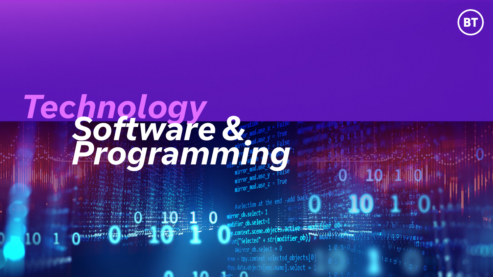# Technology<br>**Programming**

**Company of The Way** 

 $\text{mirror_model}$ <br> $\text{mipror_model}$ 

#selection at the end -add  $\frac{1}{2}$  informal obsequent = 1 difier\_ob.select=1  $y.\text{context.scence.objectS.ACLE}\nint("Selected" + str(modifier\_ob)) + moolf11...$ .context.scene.objects.active  $\text{t}$   $\text{t}$   $\text{t}$   $\text{t}$   $\text{t}$   $\text{t}$   $\text{t}$   $\text{t}$   $\text{t}$   $\text{t}$   $\text{t}$   $\text{t}$   $\text{t}$   $\text{t}$   $\text{t}$ #me = bpy.context.selected\_objects[0]  $\square$ py.data.objects[one.name].select = 1

 $1010110$ 

 $1 \ 0 \ 10 0 \ 0$ 





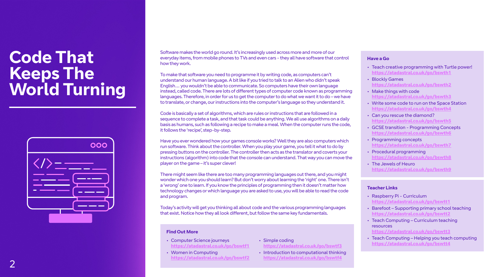### **Code That Keeps The World Turning**



Software makes the world go round. It's increasingly used across more and more of our everyday items, from mobile phones to TVs and even cars - they all have software that control how they work.

To make that software you need to programme it by writing code, as computers can't understand our human language. A bit like if you tried to talk to an Alien who didn't speak English… you wouldn't be able to communicate. So computers have their own language instead, called code. There are lots of different types of computer code known as programming languages. Therefore, in order for us to get the computer to do what we want it to do – we have to translate, or change, our instructions into the computer's language so they understand it.

Code is basically a set of algorithms, which are rules or instructions that are followed in a sequence to complete a task, and that task could be anything. We all use algorithms on a daily basis as humans, such as following a recipe to make a meal. When the computer runs the code, it follows the 'recipe', step-by-step.

Have you ever wondered how your games console works? Well they are also computers which run software. Think about the controller. When you play your game, you tell it what to do by pressing buttons on the controller. The controller then acts as the translator and coverts your instructions (algorithm) into code that the console can understand. That way you can move the player on the game – it's super clever!

There might seem like there are too many programming languages out there, and you might wonder which one you should learn? But don't worry about learning the 'right' one. There isn't a 'wrong' one to learn. If you know the principles of programming then it doesn't matter how technology changes or which language you are asked to use, you will be able to read the code and program.

Today's activity will get you thinking all about code and the various programming languages that exist. Notice how they all look different, but follow the same key fundamentals.

### **Teacher Links**

- Raspberry Pi Curriculum **https://atadastral.co.uk/go/bswtt1**
- Barefoot Supporting primary school teaching **https://atadastral.co.uk/go/bswtt2**
- Teach Computing Curriculum teaching resources **https://atadastral.co.uk/go/bswtt3**
- Teach Computing Helping you teach computing **https://atadastral.co.uk/go/bswtt4**



### **Find Out More**

- Computer Science journeys **https://atadastral.co.uk/go/bswtf1**
- Women in Computing **https://atadastral.co.uk/go/bswtf2**
- Simple coding **https://atadastral.co.uk/go/bswtf3**
	- Introduction to computational thinking **https://atadastral.co.uk/go/bswtf4**
- Teach creative programming with Turtle power! **https://atadastral.co.uk/go/bswth1**
- Blockly Games **https://atadastral.co.uk/go/bswth2**
- Make things with code **https://atadastral.co.uk/go/bswth3**
- Write some code to run on the Space Station **https://atadastral.co.uk/go/bswth4**
- Can you rescue the diamond? **https://atadastral.co.uk/go/bswth5**
- GCSE transition Programming Concepts **https://atadastral.co.uk/go/bswth6**
- Programming concepts **https://atadastral.co.uk/go/bswth7**
- Procedural programming **https://atadastral.co.uk/go/bswth8**
- The Jewels of Heuro **https://atadastral.co.uk/go/bswth9**

### **Have a Go**